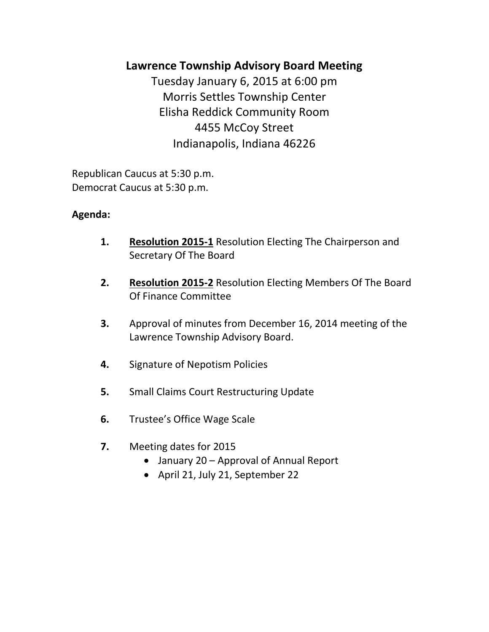# **Lawrence Township Advisory Board Meeting**

Tuesday January 6, 2015 at 6:00 pm Morris Settles Township Center Elisha Reddick Community Room 4455 McCoy Street Indianapolis, Indiana 46226

Republican Caucus at 5:30 p.m. Democrat Caucus at 5:30 p.m.

## **Agenda:**

- **1. Resolution 2015-1** Resolution Electing The Chairperson and Secretary Of The Board
- **2. Resolution 2015-2** Resolution Electing Members Of The Board Of Finance Committee
- **3.** Approval of minutes from December 16, 2014 meeting of the Lawrence Township Advisory Board.
- **4.** Signature of Nepotism Policies
- **5.** Small Claims Court Restructuring Update
- **6.** Trustee's Office Wage Scale
- **7.** Meeting dates for 2015
	- January 20 Approval of Annual Report
	- April 21, July 21, September 22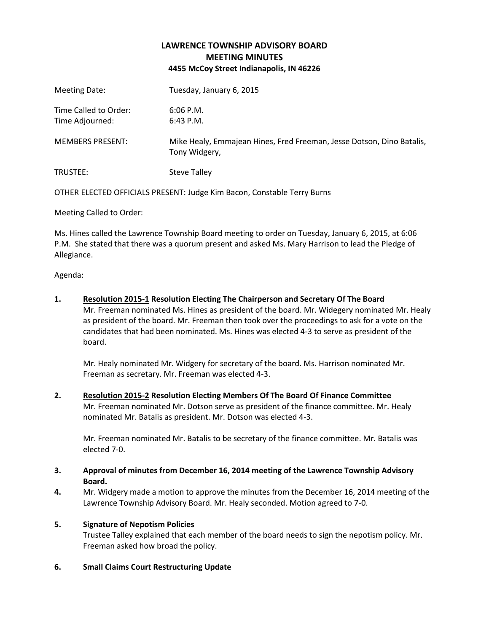### **LAWRENCE TOWNSHIP ADVISORY BOARD MEETING MINUTES 4455 McCoy Street Indianapolis, IN 46226**

| Meeting Date:                            | Tuesday, January 6, 2015                                                               |
|------------------------------------------|----------------------------------------------------------------------------------------|
| Time Called to Order:<br>Time Adjourned: | $6:06$ P.M.<br>$6:43$ P.M.                                                             |
| <b>MEMBERS PRESENT:</b>                  | Mike Healy, Emmajean Hines, Fred Freeman, Jesse Dotson, Dino Batalis,<br>Tony Widgery, |
| TRUSTEE:                                 | <b>Steve Talley</b>                                                                    |

OTHER ELECTED OFFICIALS PRESENT: Judge Kim Bacon, Constable Terry Burns

Meeting Called to Order:

Ms. Hines called the Lawrence Township Board meeting to order on Tuesday, January 6, 2015, at 6:06 P.M. She stated that there was a quorum present and asked Ms. Mary Harrison to lead the Pledge of Allegiance.

Agenda:

**1. Resolution 2015-1 Resolution Electing The Chairperson and Secretary Of The Board**

Mr. Freeman nominated Ms. Hines as president of the board. Mr. Widegery nominated Mr. Healy as president of the board. Mr. Freeman then took over the proceedings to ask for a vote on the candidates that had been nominated. Ms. Hines was elected 4-3 to serve as president of the board.

Mr. Healy nominated Mr. Widgery for secretary of the board. Ms. Harrison nominated Mr. Freeman as secretary. Mr. Freeman was elected 4-3.

**2. Resolution 2015-2 Resolution Electing Members Of The Board Of Finance Committee** Mr. Freeman nominated Mr. Dotson serve as president of the finance committee. Mr. Healy nominated Mr. Batalis as president. Mr. Dotson was elected 4-3.

Mr. Freeman nominated Mr. Batalis to be secretary of the finance committee. Mr. Batalis was elected 7-0.

- **3. Approval of minutes from December 16, 2014 meeting of the Lawrence Township Advisory Board.**
- **4.** Mr. Widgery made a motion to approve the minutes from the December 16, 2014 meeting of the Lawrence Township Advisory Board. Mr. Healy seconded. Motion agreed to 7-0.

#### **5. Signature of Nepotism Policies**

Trustee Talley explained that each member of the board needs to sign the nepotism policy. Mr. Freeman asked how broad the policy.

**6. Small Claims Court Restructuring Update**